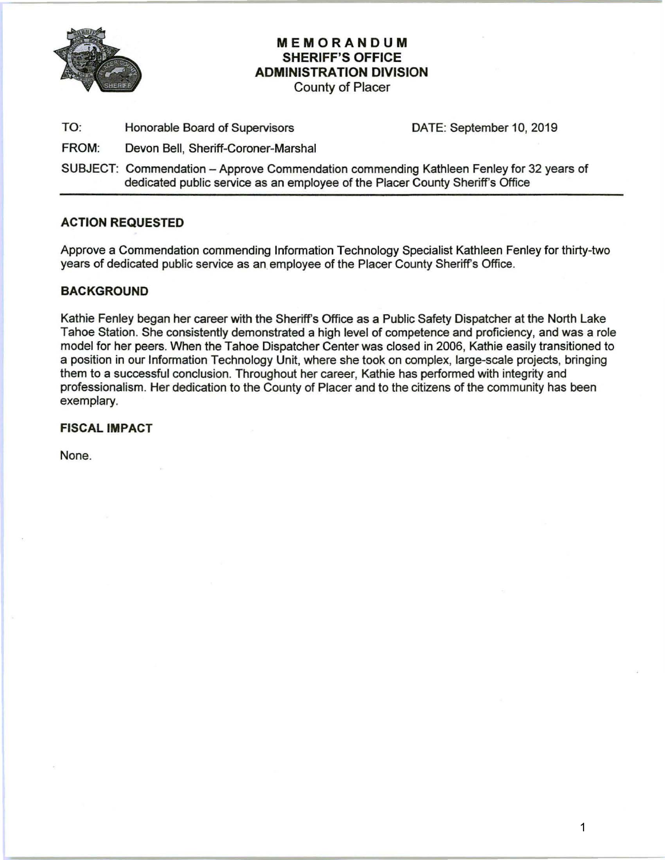

# **MEMORANDUM SHERIFF'S OFFICE ADMINISTRATION DIVISION**

County of Placer

TO: Honorable Board of Supervisors DATE: September 10, 2019

FROM: Devon Bell, Sheriff-Coroner-Marshal

SUBJECT: Commendation -Approve Commendation commending Kathleen Fenley for 32 years of dedicated public service as an employee of the Placer County Sheriff's Office

### **ACTION REQUESTED**

Approve a Commendation commending Information Technology Specialist Kathleen Fenley for thirty-two years of dedicated public service as an employee of the Placer County Sheriff's Office.

### **BACKGROUND**

Kathie Fenley began her career with the Sheriff's Office as a Public Safety Dispatcher at the North Lake Tahoe Station. She consistently demonstrated a high level of competence and proficiency, and was a role model for her peers. When the Tahoe Dispatcher Center was closed in 2006, Kathie easily transitioned to a position in our Information Technology Unit, where she took on complex, large-scale projects, bringing them to a successful conclusion. Throughout her career, Kathie has performed with integrity and professionalism. Her dedication to the County of Placer and to the citizens of the community has been exemplary.

#### **FISCAL IMPACT**

None.